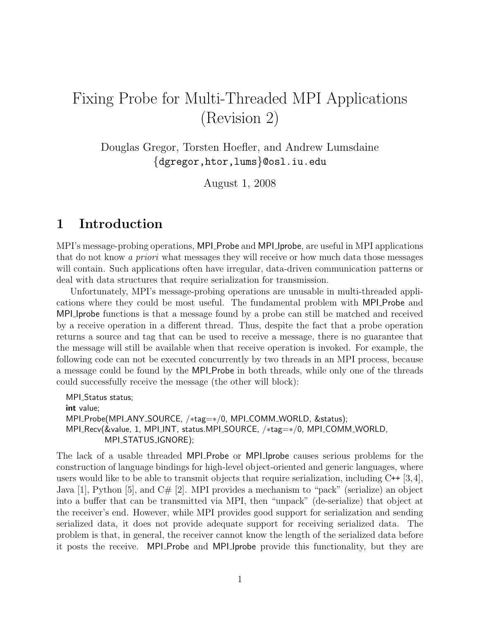# Fixing Probe for Multi-Threaded MPI Applications (Revision 2)

Douglas Gregor, Torsten Hoefler, and Andrew Lumsdaine {dgregor,htor,lums}@osl.iu.edu

August 1, 2008

## 1 Introduction

MPI's message-probing operations, MPI Probe and MPI Iprobe, are useful in MPI applications that do not know a priori what messages they will receive or how much data those messages will contain. Such applications often have irregular, data-driven communication patterns or deal with data structures that require serialization for transmission.

Unfortunately, MPI's message-probing operations are unusable in multi-threaded applications where they could be most useful. The fundamental problem with MPI Probe and MPI Iprobe functions is that a message found by a probe can still be matched and received by a receive operation in a different thread. Thus, despite the fact that a probe operation returns a source and tag that can be used to receive a message, there is no guarantee that the message will still be available when that receive operation is invoked. For example, the following code can not be executed concurrently by two threads in an MPI process, because a message could be found by the MPI Probe in both threads, while only one of the threads could successfully receive the message (the other will block):

```
MPI<sub>-Status</sub> status;
int value;
MPI_Probe(MPI_ANY_SOURCE, /*tag=*/0, MPI_COMM_WORLD, &status);
MPI_Recv(&value, 1, MPI_INT, status.MPI_SOURCE, /*tag=*/0, MPI_COMM_WORLD,
         MPI_STATUS_IGNORE);
```
The lack of a usable threaded MPI Probe or MPI Iprobe causes serious problems for the construction of language bindings for high-level object-oriented and generic languages, where users would like to be able to transmit objects that require serialization, including  $C^{++}$  [3,4], Java [1], Python [5], and  $C\#$  [2]. MPI provides a mechanism to "pack" (serialize) an object into a buffer that can be transmitted via MPI, then "unpack" (de-serialize) that object at the receiver's end. However, while MPI provides good support for serialization and sending serialized data, it does not provide adequate support for receiving serialized data. The problem is that, in general, the receiver cannot know the length of the serialized data before it posts the receive. MPI Probe and MPI Iprobe provide this functionality, but they are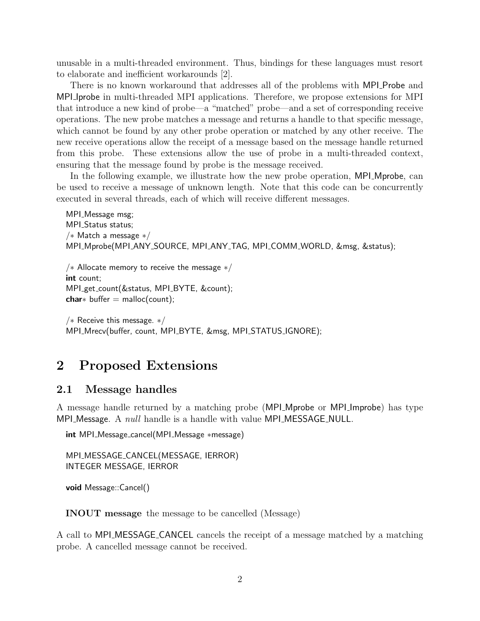unusable in a multi-threaded environment. Thus, bindings for these languages must resort to elaborate and inefficient workarounds [2].

There is no known workaround that addresses all of the problems with MPI Probe and MPI Iprobe in multi-threaded MPI applications. Therefore, we propose extensions for MPI that introduce a new kind of probe—a "matched" probe—and a set of corresponding receive operations. The new probe matches a message and returns a handle to that specific message, which cannot be found by any other probe operation or matched by any other receive. The new receive operations allow the receipt of a message based on the message handle returned from this probe. These extensions allow the use of probe in a multi-threaded context, ensuring that the message found by probe is the message received.

In the following example, we illustrate how the new probe operation, MPI Mprobe, can be used to receive a message of unknown length. Note that this code can be concurrently executed in several threads, each of which will receive different messages.

```
MPI<sub>-</sub>Message msg;
MPI_Status status;
/∗ Match a message ∗/
MPI_Mprobe(MPI_ANY_SOURCE, MPI_ANY_TAG, MPI_COMM_WORLD, &msg, &status);
```

```
/∗ Allocate memory to receive the message ∗/
int count;
MPI_get_count(&status, MPI_BYTE, &count);
char* buffer = malloc(count);
```

```
/∗ Receive this message. ∗/
MPI_Mrecv(buffer, count, MPI_BYTE, &msg, MPI_STATUS_IGNORE);
```
### 2 Proposed Extensions

#### 2.1 Message handles

A message handle returned by a matching probe (MPI Mprobe or MPI Improbe) has type MPI Message. A *null* handle is a handle with value MPI MESSAGE NULL.

```
int MPI_Message_cancel(MPI_Message ∗message)
```

```
MPI_MESSAGE_CANCEL(MESSAGE, IERROR)
INTEGER MESSAGE, IERROR
```

```
void Message::Cancel()
```
INOUT message the message to be cancelled (Message)

A call to MPLMESSAGE\_CANCEL cancels the receipt of a message matched by a matching probe. A cancelled message cannot be received.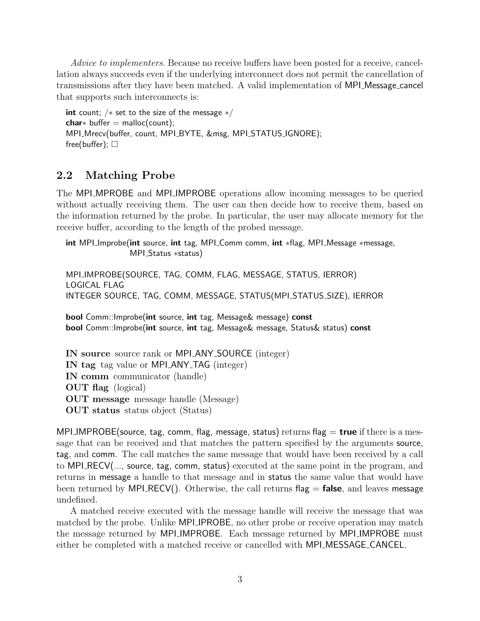Advice to implementers. Because no receive buffers have been posted for a receive, cancellation always succeeds even if the underlying interconnect does not permit the cancellation of transmissions after they have been matched. A valid implementation of MPI Message cancel that supports such interconnects is:

```
int count; /* set to the size of the message */char* buffer = malloc(count);
MPI_Mrecv(buffer, count, MPI_BYTE, &msg, MPI_STATUS_IGNORE);
free(buffer); \square
```
### <span id="page-2-0"></span>2.2 Matching Probe

The MPI\_MPROBE and MPI\_IMPROBE operations allow incoming messages to be queried without actually receiving them. The user can then decide how to receive them, based on the information returned by the probe. In particular, the user may allocate memory for the receive buffer, according to the length of the probed message.

int MPI\_Improbe(int source, int tag, MPI\_Comm comm, int \*flag, MPI\_Message ∗message, MPI\_Status ∗status)

MPI\_IMPROBE(SOURCE, TAG, COMM, FLAG, MESSAGE, STATUS, IERROR) LOGICAL FLAG INTEGER SOURCE, TAG, COMM, MESSAGE, STATUS(MPI\_STATUS\_SIZE), IERROR

bool Comm::Improbe(int source, int tag, Message& message) const bool Comm::Improbe(int source, int tag, Message& message, Status& status) const

IN source source rank or MPI ANY SOURCE (integer) IN tag tag value or MPI ANY TAG (integer) IN comm communicator (handle) OUT flag (logical) OUT message message handle (Message) OUT status status object (Status)

MPI IMPROBE(source, tag, comm, flag, message, status) returns flag  $=$  true if there is a message that can be received and that matches the pattern specified by the arguments source, tag, and comm. The call matches the same message that would have been received by a call to MPI\_RECV(..., source, tag, comm, status) executed at the same point in the program, and returns in message a handle to that message and in status the same value that would have been returned by MPI RECV(). Otherwise, the call returns flag  $=$  false, and leaves message undefined.

A matched receive executed with the message handle will receive the message that was matched by the probe. Unlike **MPI IPROBE**, no other probe or receive operation may match the message returned by MPI IMPROBE. Each message returned by MPI IMPROBE must either be completed with a matched receive or cancelled with MPI MESSAGE CANCEL.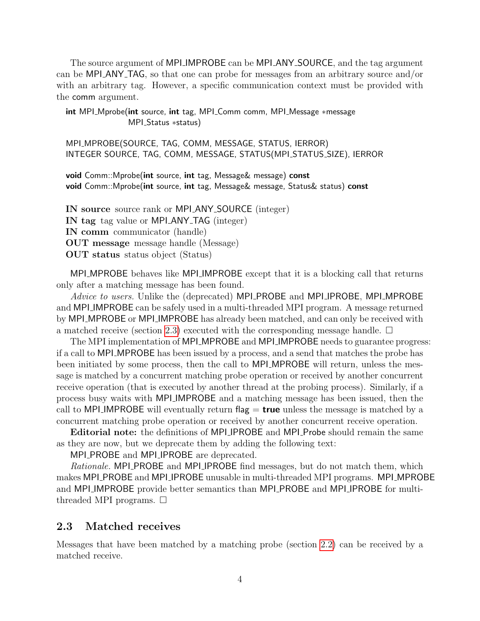The source argument of MPI IMPROBE can be MPI ANY SOURCE, and the tag argument can be MPI\_ANY\_TAG, so that one can probe for messages from an arbitrary source and/or with an arbitrary tag. However, a specific communication context must be provided with the comm argument.

int MPI\_Mprobe(int source, int tag, MPI\_Comm comm, MPI\_Message ∗message MPI Status ∗status)

MPI\_MPROBE(SOURCE, TAG, COMM, MESSAGE, STATUS, IERROR) INTEGER SOURCE, TAG, COMM, MESSAGE, STATUS(MPI\_STATUS\_SIZE), IERROR

void Comm::Mprobe(int source, int tag, Message& message) const void Comm::Mprobe(int source, int tag, Message& message, Status& status) const

IN source source rank or MPI ANY SOURCE (integer) IN tag tag value or MPI ANY TAG (integer) IN comm communicator (handle) OUT message message handle (Message) OUT status status object (Status)

MPI MPROBE behaves like MPI IMPROBE except that it is a blocking call that returns only after a matching message has been found.

Advice to users. Unlike the (deprecated) MPI\_PROBE and MPI\_IPROBE, MPI\_MPROBE and MPI IMPROBE can be safely used in a multi-threaded MPI program. A message returned by MPI MPROBE or MPI IMPROBE has already been matched, and can only be received with a matched receive (section [2.3\)](#page-3-0) executed with the corresponding message handle.  $\Box$ 

The MPI implementation of MPI\_MPROBE and MPI\_IMPROBE needs to guarantee progress: if a call to MPI MPROBE has been issued by a process, and a send that matches the probe has been initiated by some process, then the call to **MPI\_MPROBE** will return, unless the message is matched by a concurrent matching probe operation or received by another concurrent receive operation (that is executed by another thread at the probing process). Similarly, if a process busy waits with MPI IMPROBE and a matching message has been issued, then the call to MPI IMPROBE will eventually return flag  $=$  true unless the message is matched by a concurrent matching probe operation or received by another concurrent receive operation.

Editorial note: the definitions of MPI IPROBE and MPI Probe should remain the same as they are now, but we deprecate them by adding the following text:

MPI PROBE and MPI IPROBE are deprecated.

Rationale. MPI PROBE and MPI IPROBE find messages, but do not match them, which makes MPI PROBE and MPI IPROBE unusable in multi-threaded MPI programs. MPI MPROBE and MPI IMPROBE provide better semantics than MPI PROBE and MPI IPROBE for multithreaded MPI programs.  $\square$ 

#### <span id="page-3-0"></span>2.3 Matched receives

Messages that have been matched by a matching probe (section [2.2\)](#page-2-0) can be received by a matched receive.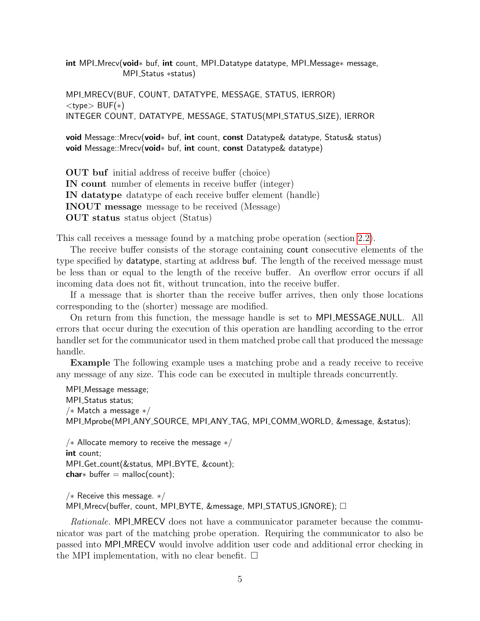int MPI\_Mrecv(void<sup>\*</sup> buf, int count, MPI\_Datatype datatype, MPI\_Message∗ message, MPI\_Status ∗status)

MPI\_MRECV(BUF, COUNT, DATATYPE, MESSAGE, STATUS, IERROR)  $lt$ type $>$  BUF $(*)$ INTEGER COUNT, DATATYPE, MESSAGE, STATUS(MPI\_STATUS\_SIZE), IERROR

void Message::Mrecv(void<sup>\*</sup> buf, int count, const Datatype& datatype, Status& status) void Message::Mrecv(void<sup>\*</sup> buf, int count, const Datatype& datatype)

OUT buf initial address of receive buffer (choice) IN count number of elements in receive buffer (integer) IN datatype datatype of each receive buffer element (handle) INOUT message message to be received (Message) OUT status status object (Status)

This call receives a message found by a matching probe operation (section [2.2\)](#page-2-0).

The receive buffer consists of the storage containing count consecutive elements of the type specified by datatype, starting at address buf. The length of the received message must be less than or equal to the length of the receive buffer. An overflow error occurs if all incoming data does not fit, without truncation, into the receive buffer.

If a message that is shorter than the receive buffer arrives, then only those locations corresponding to the (shorter) message are modified.

On return from this function, the message handle is set to MPI MESSAGE NULL. All errors that occur during the execution of this operation are handling according to the error handler set for the communicator used in them matched probe call that produced the message handle.

Example The following example uses a matching probe and a ready receive to receive any message of any size. This code can be executed in multiple threads concurrently.

MPI\_Message message; MPI\_Status status; /∗ Match a message ∗/ MPI Mprobe(MPI ANY SOURCE, MPI ANY TAG, MPI COMM WORLD, &message, &status);

```
/* Allocate memory to receive the message */int count;
MPI_Get_count(&status, MPI_BYTE, &count);
char* buffer = malloc(count);
```
/∗ Receive this message. ∗/ MPI\_Mrecv(buffer, count, MPI\_BYTE, &message, MPI\_STATUS\_IGNORE);  $\Box$ 

Rationale. MPI\_MRECV does not have a communicator parameter because the communicator was part of the matching probe operation. Requiring the communicator to also be passed into MPI MRECV would involve addition user code and additional error checking in the MPI implementation, with no clear benefit.  $\square$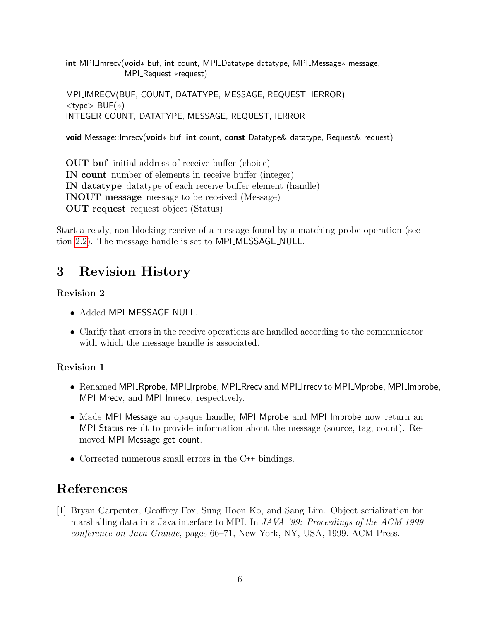int MPI\_Imrecv(void\* buf, int count, MPI\_Datatype datatype, MPI\_Message\* message, MPI Request ∗request)

MPI IMRECV(BUF, COUNT, DATATYPE, MESSAGE, REQUEST, IERROR) <type> BUF(∗) INTEGER COUNT, DATATYPE, MESSAGE, REQUEST, IERROR

void Message::Imrecv(void<sup>\*</sup> buf, int count, const Datatype& datatype, Request& request)

OUT buf initial address of receive buffer (choice) IN count number of elements in receive buffer (integer) IN datatype datatype of each receive buffer element (handle) INOUT message message to be received (Message) OUT request request object (Status)

Start a ready, non-blocking receive of a message found by a matching probe operation (section [2.2\)](#page-2-0). The message handle is set to MPI MESSAGE NULL.

## 3 Revision History

#### Revision 2

- Added MPI\_MESSAGE\_NULL.
- Clarify that errors in the receive operations are handled according to the communicator with which the message handle is associated.

#### Revision 1

- Renamed MPI Rprobe, MPI Irprobe, MPI Rrecv and MPI Irrecv to MPI Mprobe, MPI Improbe, MPI Mrecv, and MPI Imrecv, respectively.
- Made MPI Message an opaque handle; MPI Mprobe and MPI Improbe now return an MPI Status result to provide information about the message (source, tag, count). Removed MPI\_Message\_get\_count.
- Corrected numerous small errors in the C++ bindings.

## References

[1] Bryan Carpenter, Geoffrey Fox, Sung Hoon Ko, and Sang Lim. Object serialization for marshalling data in a Java interface to MPI. In JAVA '99: Proceedings of the ACM 1999 conference on Java Grande, pages 66–71, New York, NY, USA, 1999. ACM Press.